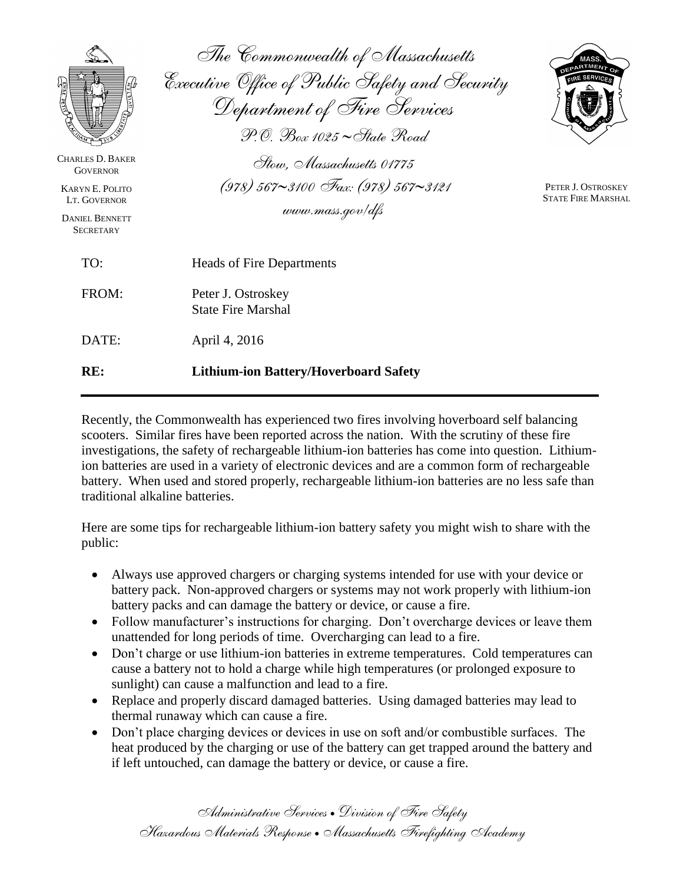| <b>CHARLES D. BAKER</b><br><b>GOVERNOR</b><br><b>KARYN E. POLITO</b> | The Commonwealth of Massachusetts<br>Executive Office of Public Safety and Security<br>Department of Fire Services<br>$\mathcal{P}$ . $\oslash$ $\mathcal{B}$ ox 1025 ~ State Road<br>Stow. Massachusetts 01775<br>$(978)$ 567~3100 Fax: (978) 567~3121 | <b>ATMENT</b><br>PETER J. OSTROSKEY<br><b>STATE FIRE MARSHAL</b> |
|----------------------------------------------------------------------|---------------------------------------------------------------------------------------------------------------------------------------------------------------------------------------------------------------------------------------------------------|------------------------------------------------------------------|
| LT. GOVERNOR<br><b>DANIEL BENNETT</b><br><b>SECRETARY</b>            | www.mass.gov/dfs                                                                                                                                                                                                                                        |                                                                  |
| TO:                                                                  | <b>Heads of Fire Departments</b>                                                                                                                                                                                                                        |                                                                  |
| FROM:                                                                | Peter J. Ostroskey<br><b>State Fire Marshal</b>                                                                                                                                                                                                         |                                                                  |
| DATE:                                                                | April 4, 2016                                                                                                                                                                                                                                           |                                                                  |
| RE:                                                                  | <b>Lithium-ion Battery/Hoverboard Safety</b>                                                                                                                                                                                                            |                                                                  |

Recently, the Commonwealth has experienced two fires involving hoverboard self balancing scooters. Similar fires have been reported across the nation. With the scrutiny of these fire investigations, the safety of rechargeable lithium-ion batteries has come into question. Lithiumion batteries are used in a variety of electronic devices and are a common form of rechargeable battery. When used and stored properly, rechargeable lithium-ion batteries are no less safe than traditional alkaline batteries.

Here are some tips for rechargeable lithium-ion battery safety you might wish to share with the public:

- Always use approved chargers or charging systems intended for use with your device or battery pack. Non-approved chargers or systems may not work properly with lithium-ion battery packs and can damage the battery or device, or cause a fire.
- Follow manufacturer's instructions for charging. Don't overcharge devices or leave them unattended for long periods of time. Overcharging can lead to a fire.
- Don't charge or use lithium-ion batteries in extreme temperatures. Cold temperatures can cause a battery not to hold a charge while high temperatures (or prolonged exposure to sunlight) can cause a malfunction and lead to a fire.
- Replace and properly discard damaged batteries. Using damaged batteries may lead to thermal runaway which can cause a fire.
- Don't place charging devices or devices in use on soft and/or combustible surfaces. The heat produced by the charging or use of the battery can get trapped around the battery and if left untouched, can damage the battery or device, or cause a fire.